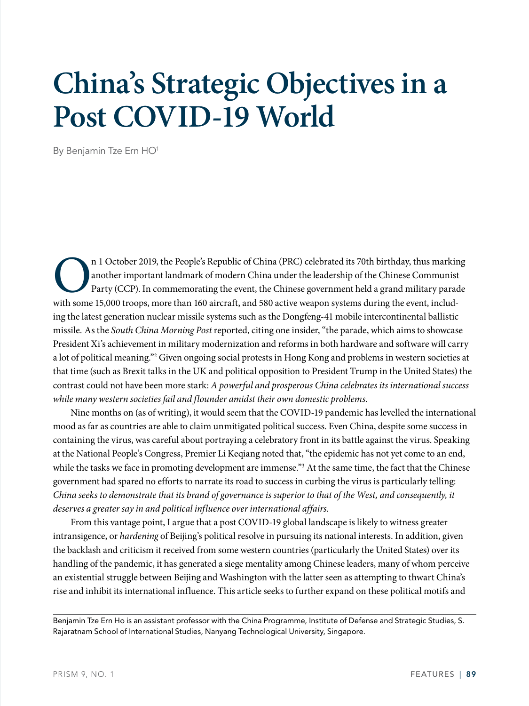# **China's Strategic Objectives in a Post COVID-19 World**

By Benjamin Tze Ern HO1

n 1 October 2019, the People's Republic of China (PRC) celebrated its 70th birthday, thus marking<br>another important landmark of modern China under the leadership of the Chinese Communist<br>Party (CCP). In commemorating the e another important landmark of modern China under the leadership of the Chinese Communist Party (CCP). In commemorating the event, the Chinese government held a grand military parade with some 15,000 troops, more than 160 aircraft, and 580 active weapon systems during the event, including the latest generation nuclear missile systems such as the Dongfeng-41 mobile intercontinental ballistic missile. As the *South China Morning Post* reported, citing one insider, "the parade, which aims to showcase President Xi's achievement in military modernization and reforms in both hardware and software will carry a lot of political meaning."2 Given ongoing social protests in Hong Kong and problems in western societies at that time (such as Brexit talks in the UK and political opposition to President Trump in the United States) the contrast could not have been more stark: *A powerful and prosperous China celebrates its international success while many western societies fail and flounder amidst their own domestic problems.*

Nine months on (as of writing), it would seem that the COVID-19 pandemic has levelled the international mood as far as countries are able to claim unmitigated political success. Even China, despite some success in containing the virus, was careful about portraying a celebratory front in its battle against the virus. Speaking at the National People's Congress, Premier Li Keqiang noted that, "the epidemic has not yet come to an end, while the tasks we face in promoting development are immense."<sup>3</sup> At the same time, the fact that the Chinese government had spared no efforts to narrate its road to success in curbing the virus is particularly telling: *China seeks to demonstrate that its brand of governance is superior to that of the West, and consequently, it deserves a greater say in and political influence over international affairs.* 

From this vantage point, I argue that a post COVID-19 global landscape is likely to witness greater intransigence, or *hardening* of Beijing's political resolve in pursuing its national interests. In addition, given the backlash and criticism it received from some western countries (particularly the United States) over its handling of the pandemic, it has generated a siege mentality among Chinese leaders, many of whom perceive an existential struggle between Beijing and Washington with the latter seen as attempting to thwart China's rise and inhibit its international influence. This article seeks to further expand on these political motifs and

Benjamin Tze Ern Ho is an assistant professor with the China Programme, Institute of Defense and Strategic Studies, S. Rajaratnam School of International Studies, Nanyang Technological University, Singapore.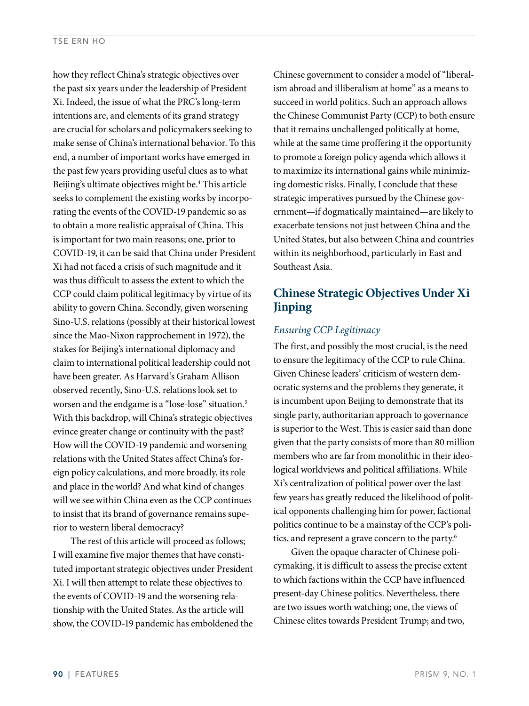#### TSE ERN HO

how they reflect China's strategic objectives over the past six years under the leadership of President Xi. Indeed, the issue of what the PRC's long-term intentions are, and elements of its grand strategy are crucial for scholars and policymakers seeking to make sense of China's international behavior. To this end, a number of important works have emerged in the past few years providing useful clues as to what Beijing's ultimate objectives might be.<sup>4</sup> This article seeks to complement the existing works by incorporating the events of the COVID-19 pandemic so as to obtain a more realistic appraisal of China. This is important for two main reasons; one, prior to COVID-19, it can be said that China under President Xi had not faced a crisis of such magnitude and it was thus difficult to assess the extent to which the CCP could claim political legitimacy by virtue of its ability to govern China. Secondly, given worsening Sino-U.S. relations (possibly at their historical lowest since the Mao-Nixon rapprochement in 1972), the stakes for Beijing's international diplomacy and claim to international political leadership could not have been greater. As Harvard's Graham Allison observed recently, Sino-U.S. relations look set to worsen and the endgame is a "lose-lose" situation.<sup>5</sup> With this backdrop, will China's strategic objectives evince greater change or continuity with the past? How will the COVID-19 pandemic and worsening relations with the United States affect China's foreign policy calculations, and more broadly, its role and place in the world? And what kind of changes will we see within China even as the CCP continues to insist that its brand of governance remains superior to western liberal democracy?

The rest of this article will proceed as follows; I will examine five major themes that have constituted important strategic objectives under President Xi. I will then attempt to relate these objectives to the events of COVID-19 and the worsening relationship with the United States. As the article will show, the COVID-19 pandemic has emboldened the Chinese government to consider a model of "liberalism abroad and illiberalism at home" as a means to succeed in world politics. Such an approach allows the Chinese Communist Party (CCP) to both ensure that it remains unchallenged politically at home, while at the same time proffering it the opportunity to promote a foreign policy agenda which allows it to maximize its international gains while minimizing domestic risks. Finally, I conclude that these strategic imperatives pursued by the Chinese government—if dogmatically maintained—are likely to exacerbate tensions not just between China and the United States, but also between China and countries within its neighborhood, particularly in East and Southeast Asia.

# **Chinese Strategic Objectives Under Xi Jinping**

## *Ensuring CCP Legitimacy*

The first, and possibly the most crucial, is the need to ensure the legitimacy of the CCP to rule China. Given Chinese leaders' criticism of western democratic systems and the problems they generate, it is incumbent upon Beijing to demonstrate that its single party, authoritarian approach to governance is superior to the West. This is easier said than done given that the party consists of more than 80 million members who are far from monolithic in their ideological worldviews and political affiliations. While Xi's centralization of political power over the last few years has greatly reduced the likelihood of political opponents challenging him for power, factional politics continue to be a mainstay of the CCP's politics, and represent a grave concern to the party.<sup>6</sup>

Given the opaque character of Chinese policymaking, it is difficult to assess the precise extent to which factions within the CCP have influenced present-day Chinese politics. Nevertheless, there are two issues worth watching; one, the views of Chinese elites towards President Trump; and two,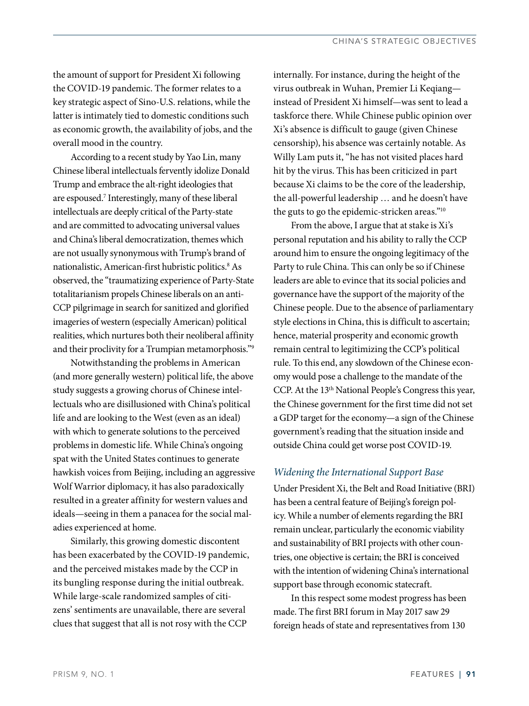the amount of support for President Xi following the COVID-19 pandemic. The former relates to a key strategic aspect of Sino-U.S. relations, while the latter is intimately tied to domestic conditions such as economic growth, the availability of jobs, and the overall mood in the country.

According to a recent study by Yao Lin, many Chinese liberal intellectuals fervently idolize Donald Trump and embrace the alt-right ideologies that are espoused.7 Interestingly, many of these liberal intellectuals are deeply critical of the Party-state and are committed to advocating universal values and China's liberal democratization, themes which are not usually synonymous with Trump's brand of nationalistic, American-first hubristic politics.8 As observed, the "traumatizing experience of Party-State totalitarianism propels Chinese liberals on an anti-CCP pilgrimage in search for sanitized and glorified imageries of western (especially American) political realities, which nurtures both their neoliberal affinity and their proclivity for a Trumpian metamorphosis."9

Notwithstanding the problems in American (and more generally western) political life, the above study suggests a growing chorus of Chinese intellectuals who are disillusioned with China's political life and are looking to the West (even as an ideal) with which to generate solutions to the perceived problems in domestic life. While China's ongoing spat with the United States continues to generate hawkish voices from Beijing, including an aggressive Wolf Warrior diplomacy, it has also paradoxically resulted in a greater affinity for western values and ideals—seeing in them a panacea for the social maladies experienced at home.

Similarly, this growing domestic discontent has been exacerbated by the COVID-19 pandemic, and the perceived mistakes made by the CCP in its bungling response during the initial outbreak. While large-scale randomized samples of citizens' sentiments are unavailable, there are several clues that suggest that all is not rosy with the CCP

internally. For instance, during the height of the virus outbreak in Wuhan, Premier Li Keqiang instead of President Xi himself—was sent to lead a taskforce there. While Chinese public opinion over Xi's absence is difficult to gauge (given Chinese censorship), his absence was certainly notable. As Willy Lam puts it, "he has not visited places hard hit by the virus. This has been criticized in part because Xi claims to be the core of the leadership, the all-powerful leadership … and he doesn't have the guts to go the epidemic-stricken areas."10

From the above, I argue that at stake is Xi's personal reputation and his ability to rally the CCP around him to ensure the ongoing legitimacy of the Party to rule China. This can only be so if Chinese leaders are able to evince that its social policies and governance have the support of the majority of the Chinese people. Due to the absence of parliamentary style elections in China, this is difficult to ascertain; hence, material prosperity and economic growth remain central to legitimizing the CCP's political rule. To this end, any slowdown of the Chinese economy would pose a challenge to the mandate of the CCP. At the 13<sup>th</sup> National People's Congress this year, the Chinese government for the first time did not set a GDP target for the economy—a sign of the Chinese government's reading that the situation inside and outside China could get worse post COVID-19.

### *Widening the International Support Base*

Under President Xi, the Belt and Road Initiative (BRI) has been a central feature of Beijing's foreign policy. While a number of elements regarding the BRI remain unclear, particularly the economic viability and sustainability of BRI projects with other countries, one objective is certain; the BRI is conceived with the intention of widening China's international support base through economic statecraft.

In this respect some modest progress has been made. The first BRI forum in May 2017 saw 29 foreign heads of state and representatives from 130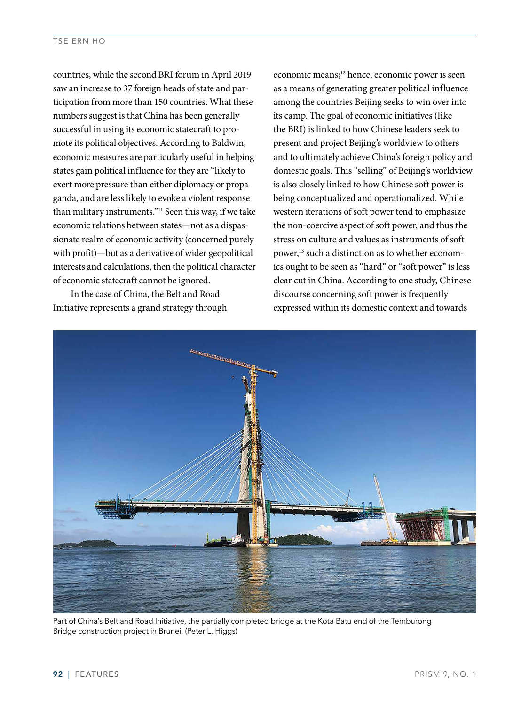countries, while the second BRI forum in April 2019 saw an increase to 37 foreign heads of state and participation from more than 150 countries. What these numbers suggest is that China has been generally successful in using its economic statecraft to promote its political objectives. According to Baldwin, economic measures are particularly useful in helping states gain political influence for they are "likely to exert more pressure than either diplomacy or propaganda, and are less likely to evoke a violent response than military instruments."11 Seen this way, if we take economic relations between states—not as a dispassionate realm of economic activity (concerned purely with profit)—but as a derivative of wider geopolitical interests and calculations, then the political character of economic statecraft cannot be ignored.

In the case of China, the Belt and Road Initiative represents a grand strategy through economic means;<sup>12</sup> hence, economic power is seen as a means of generating greater political influence among the countries Beijing seeks to win over into its camp. The goal of economic initiatives (like the BRI) is linked to how Chinese leaders seek to present and project Beijing's worldview to others and to ultimately achieve China's foreign policy and domestic goals. This "selling" of Beijing's worldview is also closely linked to how Chinese soft power is being conceptualized and operationalized. While western iterations of soft power tend to emphasize the non-coercive aspect of soft power, and thus the stress on culture and values as instruments of soft power,13 such a distinction as to whether economics ought to be seen as "hard" or "soft power" is less clear cut in China. According to one study, Chinese discourse concerning soft power is frequently expressed within its domestic context and towards



Part of China's Belt and Road Initiative, the partially completed bridge at the Kota Batu end of the Temburong Bridge construction project in Brunei. (Peter L. Higgs)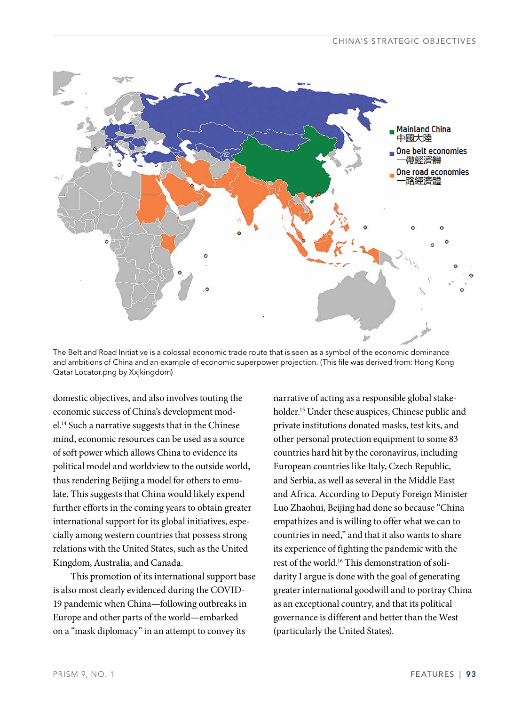

The Belt and Road Initiative is a colossal economic trade route that is seen as a symbol of the economic dominance and ambitions of China and an example of economic superpower projection. (This file was derived from: Hong Kong Qatar Locator.png by Xxjkingdom)

domestic objectives, and also involves touting the economic success of China's development model.14 Such a narrative suggests that in the Chinese mind, economic resources can be used as a source of soft power which allows China to evidence its political model and worldview to the outside world, thus rendering Beijing a model for others to emulate. This suggests that China would likely expend further efforts in the coming years to obtain greater international support for its global initiatives, especially among western countries that possess strong relations with the United States, such as the United Kingdom, Australia, and Canada.

This promotion of its international support base is also most clearly evidenced during the COVID-19 pandemic when China—following outbreaks in Europe and other parts of the world—embarked on a "mask diplomacy" in an attempt to convey its

narrative of acting as a responsible global stakeholder.15 Under these auspices, Chinese public and private institutions donated masks, test kits, and other personal protection equipment to some 83 countries hard hit by the coronavirus, including European countries like Italy, Czech Republic, and Serbia, as well as several in the Middle East and Africa. According to Deputy Foreign Minister Luo Zhaohui, Beijing had done so because "China empathizes and is willing to offer what we can to countries in need," and that it also wants to share its experience of fighting the pandemic with the rest of the world.16 This demonstration of solidarity I argue is done with the goal of generating greater international goodwill and to portray China as an exceptional country, and that its political governance is different and better than the West (particularly the United States).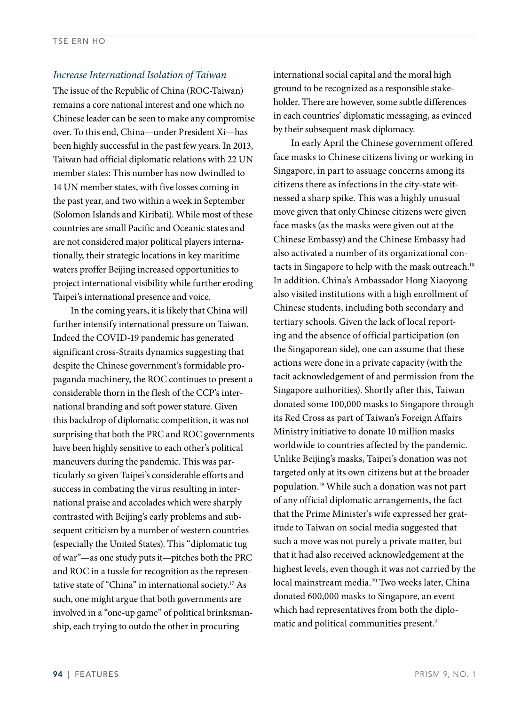#### *Increase International Isolation of Taiwan*

The issue of the Republic of China (ROC-Taiwan) remains a core national interest and one which no Chinese leader can be seen to make any compromise over. To this end, China—under President Xi—has been highly successful in the past few years. In 2013, Taiwan had official diplomatic relations with 22 UN member states: This number has now dwindled to 14 UN member states, with five losses coming in the past year, and two within a week in September (Solomon Islands and Kiribati). While most of these countries are small Pacific and Oceanic states and are not considered major political players internationally, their strategic locations in key maritime waters proffer Beijing increased opportunities to project international visibility while further eroding Taipei's international presence and voice.

In the coming years, it is likely that China will further intensify international pressure on Taiwan. Indeed the COVID-19 pandemic has generated significant cross-Straits dynamics suggesting that despite the Chinese government's formidable propaganda machinery, the ROC continues to present a considerable thorn in the flesh of the CCP's international branding and soft power stature. Given this backdrop of diplomatic competition, it was not surprising that both the PRC and ROC governments have been highly sensitive to each other's political maneuvers during the pandemic. This was particularly so given Taipei's considerable efforts and success in combating the virus resulting in international praise and accolades which were sharply contrasted with Beijing's early problems and subsequent criticism by a number of western countries (especially the United States). This "diplomatic tug of war"—as one study puts it—pitches both the PRC and ROC in a tussle for recognition as the representative state of "China" in international society.<sup>17</sup> As such, one might argue that both governments are involved in a "one-up game" of political brinksmanship, each trying to outdo the other in procuring

international social capital and the moral high ground to be recognized as a responsible stakeholder. There are however, some subtle differences in each countries' diplomatic messaging, as evinced by their subsequent mask diplomacy.

In early April the Chinese government offered face masks to Chinese citizens living or working in Singapore, in part to assuage concerns among its citizens there as infections in the city-state witnessed a sharp spike. This was a highly unusual move given that only Chinese citizens were given face masks (as the masks were given out at the Chinese Embassy) and the Chinese Embassy had also activated a number of its organizational contacts in Singapore to help with the mask outreach.<sup>18</sup> In addition, China's Ambassador Hong Xiaoyong also visited institutions with a high enrollment of Chinese students, including both secondary and tertiary schools. Given the lack of local reporting and the absence of official participation (on the Singaporean side), one can assume that these actions were done in a private capacity (with the tacit acknowledgement of and permission from the Singapore authorities). Shortly after this, Taiwan donated some 100,000 masks to Singapore through its Red Cross as part of Taiwan's Foreign Affairs Ministry initiative to donate 10 million masks worldwide to countries affected by the pandemic. Unlike Beijing's masks, Taipei's donation was not targeted only at its own citizens but at the broader population.19 While such a donation was not part of any official diplomatic arrangements, the fact that the Prime Minister's wife expressed her gratitude to Taiwan on social media suggested that such a move was not purely a private matter, but that it had also received acknowledgement at the highest levels, even though it was not carried by the local mainstream media.<sup>20</sup> Two weeks later, China donated 600,000 masks to Singapore, an event which had representatives from both the diplomatic and political communities present.<sup>21</sup>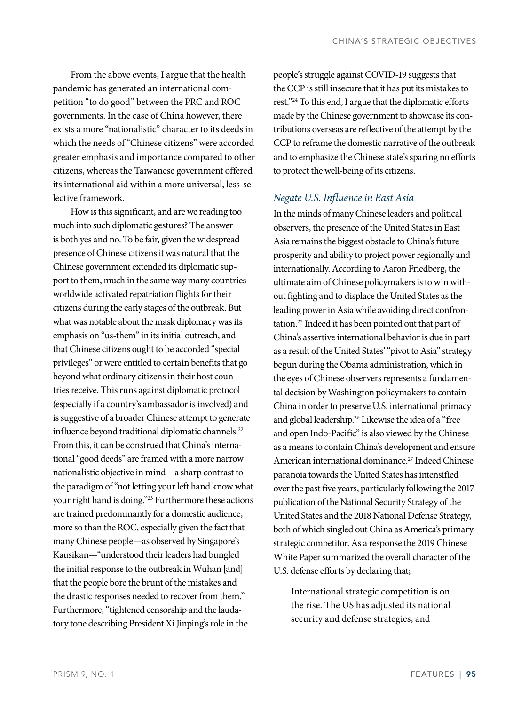From the above events, I argue that the health pandemic has generated an international competition "to do good" between the PRC and ROC governments. In the case of China however, there exists a more "nationalistic" character to its deeds in which the needs of "Chinese citizens" were accorded greater emphasis and importance compared to other citizens, whereas the Taiwanese government offered its international aid within a more universal, less-selective framework.

How is this significant, and are we reading too much into such diplomatic gestures? The answer is both yes and no. To be fair, given the widespread presence of Chinese citizens it was natural that the Chinese government extended its diplomatic support to them, much in the same way many countries worldwide activated repatriation flights for their citizens during the early stages of the outbreak. But what was notable about the mask diplomacy was its emphasis on "us-them" in its initial outreach, and that Chinese citizens ought to be accorded "special privileges" or were entitled to certain benefits that go beyond what ordinary citizens in their host countries receive. This runs against diplomatic protocol (especially if a country's ambassador is involved) and is suggestive of a broader Chinese attempt to generate influence beyond traditional diplomatic channels.<sup>22</sup> From this, it can be construed that China's international "good deeds" are framed with a more narrow nationalistic objective in mind—a sharp contrast to the paradigm of "not letting your left hand know what your right hand is doing."23 Furthermore these actions are trained predominantly for a domestic audience, more so than the ROC, especially given the fact that many Chinese people—as observed by Singapore's Kausikan—"understood their leaders had bungled the initial response to the outbreak in Wuhan [and] that the people bore the brunt of the mistakes and the drastic responses needed to recover from them." Furthermore, "tightened censorship and the laudatory tone describing President Xi Jinping's role in the

people's struggle against COVID-19 suggests that the CCP is still insecure that it has put its mistakes to rest."24 To this end, I argue that the diplomatic efforts made by the Chinese government to showcase its contributions overseas are reflective of the attempt by the CCP to reframe the domestic narrative of the outbreak and to emphasize the Chinese state's sparing no efforts to protect the well-being of its citizens.

#### *Negate U.S. Influence in East Asia*

In the minds of many Chinese leaders and political observers, the presence of the United States in East Asia remains the biggest obstacle to China's future prosperity and ability to project power regionally and internationally. According to Aaron Friedberg, the ultimate aim of Chinese policymakers is to win without fighting and to displace the United States as the leading power in Asia while avoiding direct confrontation.25 Indeed it has been pointed out that part of China's assertive international behavior is due in part as a result of the United States' "pivot to Asia" strategy begun during the Obama administration, which in the eyes of Chinese observers represents a fundamental decision by Washington policymakers to contain China in order to preserve U.S. international primacy and global leadership.<sup>26</sup> Likewise the idea of a "free and open Indo-Pacific" is also viewed by the Chinese as a means to contain China's development and ensure American international dominance.<sup>27</sup> Indeed Chinese paranoia towards the United States has intensified over the past five years, particularly following the 2017 publication of the National Security Strategy of the United States and the 2018 National Defense Strategy, both of which singled out China as America's primary strategic competitor. As a response the 2019 Chinese White Paper summarized the overall character of the U.S. defense efforts by declaring that;

International strategic competition is on the rise. The US has adjusted its national security and defense strategies, and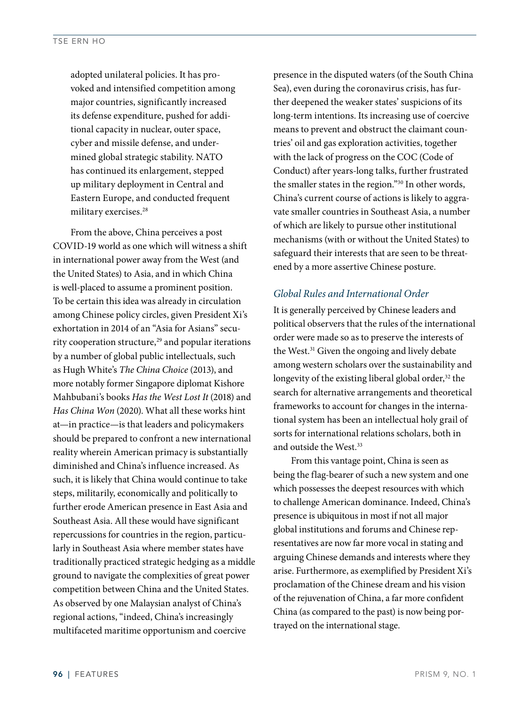adopted unilateral policies. It has provoked and intensified competition among major countries, significantly increased its defense expenditure, pushed for additional capacity in nuclear, outer space, cyber and missile defense, and undermined global strategic stability. NATO has continued its enlargement, stepped up military deployment in Central and Eastern Europe, and conducted frequent military exercises.28

From the above, China perceives a post COVID-19 world as one which will witness a shift in international power away from the West (and the United States) to Asia, and in which China is well-placed to assume a prominent position. To be certain this idea was already in circulation among Chinese policy circles, given President Xi's exhortation in 2014 of an "Asia for Asians" security cooperation structure,<sup>29</sup> and popular iterations by a number of global public intellectuals, such as Hugh White's *The China Choice* (2013), and more notably former Singapore diplomat Kishore Mahbubani's books *Has the West Lost It* (2018) and *Has China Won* (2020). What all these works hint at—in practice—is that leaders and policymakers should be prepared to confront a new international reality wherein American primacy is substantially diminished and China's influence increased. As such, it is likely that China would continue to take steps, militarily, economically and politically to further erode American presence in East Asia and Southeast Asia. All these would have significant repercussions for countries in the region, particularly in Southeast Asia where member states have traditionally practiced strategic hedging as a middle ground to navigate the complexities of great power competition between China and the United States. As observed by one Malaysian analyst of China's regional actions, "indeed, China's increasingly multifaceted maritime opportunism and coercive

presence in the disputed waters (of the South China Sea), even during the coronavirus crisis, has further deepened the weaker states' suspicions of its long-term intentions. Its increasing use of coercive means to prevent and obstruct the claimant countries' oil and gas exploration activities, together with the lack of progress on the COC (Code of Conduct) after years-long talks, further frustrated the smaller states in the region."30 In other words, China's current course of actions is likely to aggravate smaller countries in Southeast Asia, a number of which are likely to pursue other institutional mechanisms (with or without the United States) to safeguard their interests that are seen to be threatened by a more assertive Chinese posture.

#### *Global Rules and International Order*

It is generally perceived by Chinese leaders and political observers that the rules of the international order were made so as to preserve the interests of the West.<sup>31</sup> Given the ongoing and lively debate among western scholars over the sustainability and longevity of the existing liberal global order, $32$  the search for alternative arrangements and theoretical frameworks to account for changes in the international system has been an intellectual holy grail of sorts for international relations scholars, both in and outside the West.<sup>33</sup>

From this vantage point, China is seen as being the flag-bearer of such a new system and one which possesses the deepest resources with which to challenge American dominance. Indeed, China's presence is ubiquitous in most if not all major global institutions and forums and Chinese representatives are now far more vocal in stating and arguing Chinese demands and interests where they arise. Furthermore, as exemplified by President Xi's proclamation of the Chinese dream and his vision of the rejuvenation of China, a far more confident China (as compared to the past) is now being portrayed on the international stage.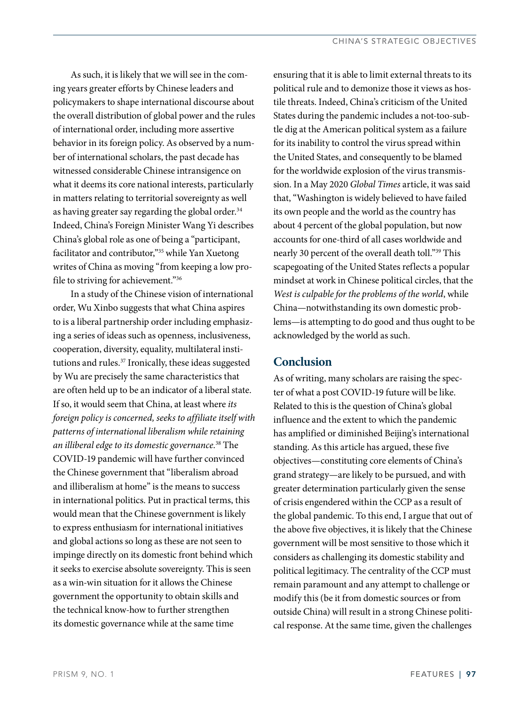As such, it is likely that we will see in the coming years greater efforts by Chinese leaders and policymakers to shape international discourse about the overall distribution of global power and the rules of international order, including more assertive behavior in its foreign policy. As observed by a number of international scholars, the past decade has witnessed considerable Chinese intransigence on what it deems its core national interests, particularly in matters relating to territorial sovereignty as well as having greater say regarding the global order.<sup>34</sup> Indeed, China's Foreign Minister Wang Yi describes China's global role as one of being a "participant, facilitator and contributor,"35 while Yan Xuetong writes of China as moving "from keeping a low profile to striving for achievement."36

In a study of the Chinese vision of international order, Wu Xinbo suggests that what China aspires to is a liberal partnership order including emphasizing a series of ideas such as openness, inclusiveness, cooperation, diversity, equality, multilateral institutions and rules.<sup>37</sup> Ironically, these ideas suggested by Wu are precisely the same characteristics that are often held up to be an indicator of a liberal state. If so, it would seem that China, at least where *its foreign policy is concerned, seeks to affiliate itself with patterns of international liberalism while retaining an illiberal edge to its domestic governance*. 38 The COVID-19 pandemic will have further convinced the Chinese government that "liberalism abroad and illiberalism at home" is the means to success in international politics. Put in practical terms, this would mean that the Chinese government is likely to express enthusiasm for international initiatives and global actions so long as these are not seen to impinge directly on its domestic front behind which it seeks to exercise absolute sovereignty. This is seen as a win-win situation for it allows the Chinese government the opportunity to obtain skills and the technical know-how to further strengthen its domestic governance while at the same time

ensuring that it is able to limit external threats to its political rule and to demonize those it views as hostile threats. Indeed, China's criticism of the United States during the pandemic includes a not-too-subtle dig at the American political system as a failure for its inability to control the virus spread within the United States, and consequently to be blamed for the worldwide explosion of the virus transmission. In a May 2020 *Global Times* article, it was said that, "Washington is widely believed to have failed its own people and the world as the country has about 4 percent of the global population, but now accounts for one-third of all cases worldwide and nearly 30 percent of the overall death toll."39 This scapegoating of the United States reflects a popular mindset at work in Chinese political circles, that the *West is culpable for the problems of the world*, while China—notwithstanding its own domestic problems—is attempting to do good and thus ought to be acknowledged by the world as such.

## **Conclusion**

As of writing, many scholars are raising the specter of what a post COVID-19 future will be like. Related to this is the question of China's global influence and the extent to which the pandemic has amplified or diminished Beijing's international standing. As this article has argued, these five objectives—constituting core elements of China's grand strategy—are likely to be pursued, and with greater determination particularly given the sense of crisis engendered within the CCP as a result of the global pandemic. To this end, I argue that out of the above five objectives, it is likely that the Chinese government will be most sensitive to those which it considers as challenging its domestic stability and political legitimacy. The centrality of the CCP must remain paramount and any attempt to challenge or modify this (be it from domestic sources or from outside China) will result in a strong Chinese political response. At the same time, given the challenges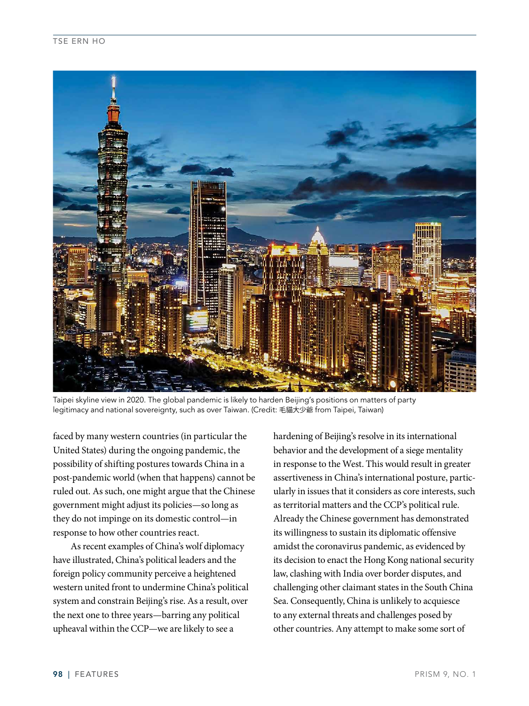

Taipei skyline view in 2020. The global pandemic is likely to harden Beijing's positions on matters of party legitimacy and national sovereignty, such as over Taiwan. (Credit: 毛貓大少爺 from Taipei, Taiwan)

faced by many western countries (in particular the United States) during the ongoing pandemic, the possibility of shifting postures towards China in a post-pandemic world (when that happens) cannot be ruled out. As such, one might argue that the Chinese government might adjust its policies—so long as they do not impinge on its domestic control—in response to how other countries react.

As recent examples of China's wolf diplomacy have illustrated, China's political leaders and the foreign policy community perceive a heightened western united front to undermine China's political system and constrain Beijing's rise. As a result, over the next one to three years—barring any political upheaval within the CCP—we are likely to see a

hardening of Beijing's resolve in its international behavior and the development of a siege mentality in response to the West. This would result in greater assertiveness in China's international posture, particularly in issues that it considers as core interests, such as territorial matters and the CCP's political rule. Already the Chinese government has demonstrated its willingness to sustain its diplomatic offensive amidst the coronavirus pandemic, as evidenced by its decision to enact the Hong Kong national security law, clashing with India over border disputes, and challenging other claimant states in the South China Sea. Consequently, China is unlikely to acquiesce to any external threats and challenges posed by other countries. Any attempt to make some sort of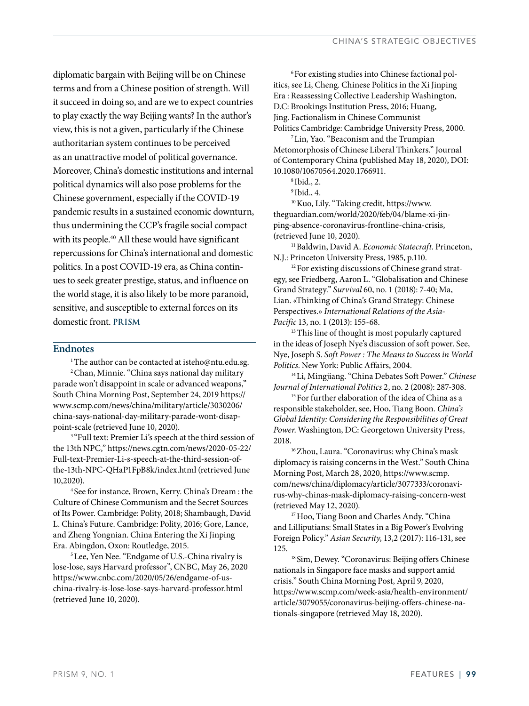diplomatic bargain with Beijing will be on Chinese terms and from a Chinese position of strength. Will it succeed in doing so, and are we to expect countries to play exactly the way Beijing wants? In the author's view, this is not a given, particularly if the Chinese authoritarian system continues to be perceived as an unattractive model of political governance. Moreover, China's domestic institutions and internal political dynamics will also pose problems for the Chinese government, especially if the COVID-19 pandemic results in a sustained economic downturn, thus undermining the CCP's fragile social compact with its people.<sup>40</sup> All these would have significant repercussions for China's international and domestic politics. In a post COVID-19 era, as China continues to seek greater prestige, status, and influence on the world stage, it is also likely to be more paranoid, sensitive, and susceptible to external forces on its domestic front. **PRISM**

#### **Endnotes**

<sup>1</sup>The author can be contacted at isteho@ntu.edu.sg. 2 Chan, Minnie. "China says national day military parade won't disappoint in scale or advanced weapons," South China Morning Post, September 24, 2019 https:// www.scmp.com/news/china/military/article/3030206/ china-says-national-day-military-parade-wont-disappoint-scale (retrieved June 10, 2020).<br><sup>3</sup> "Full text: Premier Li's speech at the third session of

the 13th NPC," https://news.cgtn.com/news/2020-05-22/ Full-text-Premier-Li-s-speech-at-the-third-session-ofthe-13th-NPC-QHaP1FpB8k/index.html (retrieved June 10,2020). 4 See for instance, Brown, Kerry. China's Dream : the

Culture of Chinese Communism and the Secret Sources of Its Power. Cambridge: Polity, 2018; Shambaugh, David L. China's Future. Cambridge: Polity, 2016; Gore, Lance, and Zheng Yongnian. China Entering the Xi Jinping Era. Abingdon, Oxon: Routledge, 2015.

5 Lee, Yen Nee. "Endgame of U.S.-China rivalry is lose-lose, says Harvard professor", CNBC, May 26, 2020 https://www.cnbc.com/2020/05/26/endgame-of-uschina-rivalry-is-lose-lose-says-harvard-professor.html (retrieved June 10, 2020).

6 For existing studies into Chinese factional politics, see Li, Cheng. Chinese Politics in the Xi Jinping Era : Reassessing Collective Leadership Washington, D.C: Brookings Institution Press, 2016; Huang, Jing. Factionalism in Chinese Communist Politics Cambridge: Cambridge University Press, 2000.

7 Lin, Yao. "Beaconism and the Trumpian Metomorphosis of Chinese Liberal Thinkers." Journal of Contemporary China (published May 18, 2020), DOI: 10.1080/10670564.2020.1766911.

<sup>8</sup> Ibid., 2.<br><sup>9</sup> Ibid., 4.<br><sup>10</sup> Kuo, Lily. "Taking credit, https://www. theguardian.com/world/2020/feb/04/blame-xi-jinping-absence-coronavirus-frontline-china-crisis,

(retrieved June 10, 2020). 11 Baldwin, David A. *Economic Statecraft*. Princeton, N.J.: Princeton University Press, 1985, p.110.<br><sup>12</sup> For existing discussions of Chinese grand strat-

egy, see Friedberg, Aaron L. "Globalisation and Chinese Grand Strategy." *Survival* 60, no. 1 (2018): 7-40; Ma, Lian. «Thinking of China's Grand Strategy: Chinese Perspectives.» *International Relations of the Asia-Pacific* 13, no. 1 (2013): 155-68.

<sup>13</sup> This line of thought is most popularly captured in the ideas of Joseph Nye's discussion of soft power. See, Nye, Joseph S. *Soft Power : The Means to Success in World Politics*. New York: Public Affairs, 2004.

14 Li, Mingjiang. "China Debates Soft Power." *Chinese Journal of International Politics* 2, no. 2 (2008): 287-308.

<sup>15</sup> For further elaboration of the idea of China as a responsible stakeholder, see, Hoo, Tiang Boon. *China's Global Identity: Considering the Responsibilities of Great Power*. Washington, DC: Georgetown University Press, 2018. 16 Zhou, Laura. "Coronavirus: why China's mask

diplomacy is raising concerns in the West." South China Morning Post, March 28, 2020, https://www.scmp. com/news/china/diplomacy/article/3077333/coronavirus-why-chinas-mask-diplomacy-raising-concern-west

(retrieved May 12, 2020).<br><sup>17</sup> Hoo, Tiang Boon and Charles Andy. "China and Lilliputians: Small States in a Big Power's Evolving Foreign Policy." *Asian Security*, 13,2 (2017): 116-131, see

125. 18 Sim, Dewey. "Coronavirus: Beijing offers Chinese nationals in Singapore face masks and support amid crisis." South China Morning Post, April 9, 2020, https://www.scmp.com/week-asia/health-environment/ article/3079055/coronavirus-beijing-offers-chinese-nationals-singapore (retrieved May 18, 2020).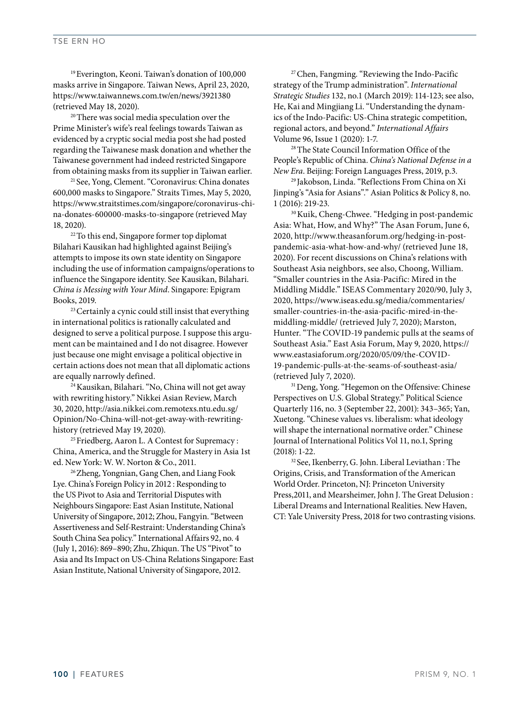19 Everington, Keoni. Taiwan's donation of 100,000 masks arrive in Singapore. Taiwan News, April 23, 2020, https://www.taiwannews.com.tw/en/news/3921380 (retrieved May 18, 2020).

<sup>20</sup> There was social media speculation over the Prime Minister's wife's real feelings towards Taiwan as evidenced by a cryptic social media post she had posted regarding the Taiwanese mask donation and whether the Taiwanese government had indeed restricted Singapore

from obtaining masks from its supplier in Taiwan earlier.<br><sup>21</sup> See, Yong, Clement. "Coronavirus: China donates 600,000 masks to Singapore." Straits Times, May 5, 2020, https://www.straitstimes.com/singapore/coronavirus-china-donates-600000-masks-to-singapore (retrieved May 18, 2020). <sup>22</sup> To this end, Singapore former top diplomat

Bilahari Kausikan had highlighted against Beijing's attempts to impose its own state identity on Singapore including the use of information campaigns/operations to influence the Singapore identity. See Kausikan, Bilahari. *China is Messing with Your Mind*. Singapore: Epigram Books, 2019.<br><sup>23</sup> Certainly a cynic could still insist that everything

in international politics is rationally calculated and designed to serve a political purpose. I suppose this argument can be maintained and I do not disagree. However just because one might envisage a political objective in certain actions does not mean that all diplomatic actions are equally narrowly defined.<br> $^{24}$ Kausikan, Bilahari. "No, China will not get away

with rewriting history." Nikkei Asian Review, March 30, 2020, http://asia.nikkei.com.remotexs.ntu.edu.sg/ Opinion/No-China-will-not-get-away-with-rewritinghistory (retrieved May 19, 2020).

<sup>25</sup> Friedberg, Aaron L. A Contest for Supremacy : China, America, and the Struggle for Mastery in Asia 1st ed. New York: W. W. Norton & Co., 2011.

26 Zheng, Yongnian, Gang Chen, and Liang Fook Lye. China's Foreign Policy in 2012 : Responding to the US Pivot to Asia and Territorial Disputes with Neighbours Singapore: East Asian Institute, National University of Singapore, 2012; Zhou, Fangyin. "Between Assertiveness and Self-Restraint: Understanding China's South China Sea policy." International Affairs 92, no. 4 (July 1, 2016): 869–890; Zhu, Zhiqun. The US "Pivot" to Asia and Its Impact on US-China Relations Singapore: East Asian Institute, National University of Singapore, 2012.

27 Chen, Fangming. "Reviewing the Indo-Pacific strategy of the Trump administration". *International Strategic Studies* 132, no.1 (March 2019): 114-123; see also, He, Kai and Mingjiang Li. "Understanding the dynamics of the Indo-Pacific: US-China strategic competition, regional actors, and beyond." *International Affairs*

Volume 96, Issue 1 (2020): 1-7.<br><sup>28</sup> The State Council Information Office of the People's Republic of China. *China's National Defense in a* 

*New Era*. Beijing: Foreign Languages Press, 2019, p.3. 29 Jakobson, Linda. "Reflections From China on Xi Jinping's "Asia for Asians"." Asian Politics & Policy 8, no. 1 (2016): 219-23.<br><sup>30</sup> Kuik, Cheng-Chwee. "Hedging in post-pandemic

Asia: What, How, and Why?" The Asan Forum, June 6, 2020, http://www.theasanforum.org/hedging-in-postpandemic-asia-what-how-and-why/ (retrieved June 18, 2020). For recent discussions on China's relations with Southeast Asia neighbors, see also, Choong, William. "Smaller countries in the Asia-Pacific: Mired in the Middling Middle." ISEAS Commentary 2020/90, July 3, 2020, https://www.iseas.edu.sg/media/commentaries/ smaller-countries-in-the-asia-pacific-mired-in-themiddling-middle/ (retrieved July 7, 2020); Marston, Hunter. "The COVID-19 pandemic pulls at the seams of Southeast Asia." East Asia Forum, May 9, 2020, https:// www.eastasiaforum.org/2020/05/09/the-COVID-19-pandemic-pulls-at-the-seams-of-southeast-asia/ % (retrieved July 7, 2020).<br><sup>31</sup> Deng, Yong. "Hegemon on the Offensive: Chinese

Perspectives on U.S. Global Strategy." Political Science Quarterly 116, no. 3 (September 22, 2001): 343–365; Yan, Xuetong. "Chinese values vs. liberalism: what ideology will shape the international normative order." Chinese Journal of International Politics Vol 11, no.1, Spring

(2018): 1-22.<br><sup>32</sup> See, Ikenberry, G. John. Liberal Leviathan : The Origins, Crisis, and Transformation of the American World Order. Princeton, NJ: Princeton University Press,2011, and Mearsheimer, John J. The Great Delusion : Liberal Dreams and International Realities. New Haven, CT: Yale University Press, 2018 for two contrasting visions.